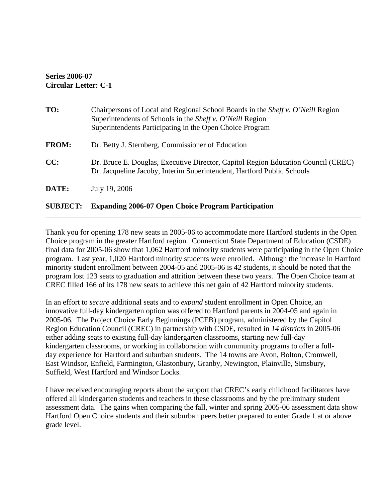## **Series 2006-07 Circular Letter: C-1**

| <b>FROM:</b><br>CC: | Dr. Betty J. Sternberg, Commissioner of Education                                                                                                           |
|---------------------|-------------------------------------------------------------------------------------------------------------------------------------------------------------|
|                     | Dr. Bruce E. Douglas, Executive Director, Capitol Region Education Council (CREC)<br>Dr. Jacqueline Jacoby, Interim Superintendent, Hartford Public Schools |
| DATE:               | July 19, 2006                                                                                                                                               |
| <b>SUBJECT:</b>     | <b>Expanding 2006-07 Open Choice Program Participation</b>                                                                                                  |

Thank you for opening 178 new seats in 2005-06 to accommodate more Hartford students in the Open Choice program in the greater Hartford region. Connecticut State Department of Education (CSDE) final data for 2005-06 show that 1,062 Hartford minority students were participating in the Open Choice program. Last year, 1,020 Hartford minority students were enrolled. Although the increase in Hartford minority student enrollment between 2004-05 and 2005-06 is 42 students, it should be noted that the program lost 123 seats to graduation and attrition between these two years. The Open Choice team at CREC filled 166 of its 178 new seats to achieve this net gain of 42 Hartford minority students.

\_\_\_\_\_\_\_\_\_\_\_\_\_\_\_\_\_\_\_\_\_\_\_\_\_\_\_\_\_\_\_\_\_\_\_\_\_\_\_\_\_\_\_\_\_\_\_\_\_\_\_\_\_\_\_\_\_\_\_\_\_\_\_\_\_\_\_\_\_\_\_\_\_\_\_\_\_\_\_\_\_\_\_

In an effort to *secure* additional seats and to *expand* student enrollment in Open Choice, an innovative full-day kindergarten option was offered to Hartford parents in 2004-05 and again in 2005-06.The Project Choice Early Beginnings (PCEB) program, administered by the Capitol Region Education Council (CREC) in partnership with CSDE, resulted in *14 districts* in 2005-06 either adding seats to existing full-day kindergarten classrooms, starting new full-day kindergarten classrooms, or working in collaboration with community programs to offer a fullday experience for Hartford and suburban students. The 14 towns are Avon, Bolton, Cromwell, East Windsor, Enfield, Farmington, Glastonbury, Granby, Newington, Plainville, Simsbury, Suffield, West Hartford and Windsor Locks.

I have received encouraging reports about the support that CREC's early childhood facilitators have offered all kindergarten students and teachers in these classrooms and by the preliminary student assessment data. The gains when comparing the fall, winter and spring 2005-06 assessment data show Hartford Open Choice students and their suburban peers better prepared to enter Grade 1 at or above grade level.